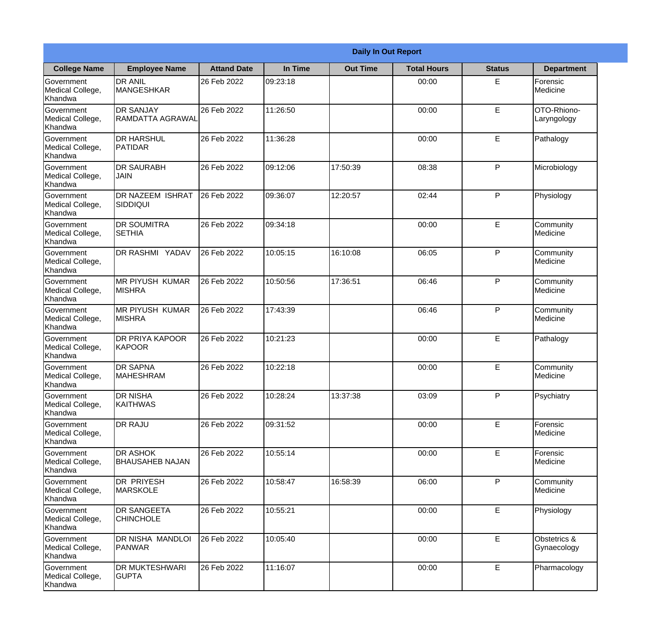|                                                  | <b>Daily In Out Report</b>                  |                    |          |                 |                    |               |                             |
|--------------------------------------------------|---------------------------------------------|--------------------|----------|-----------------|--------------------|---------------|-----------------------------|
| <b>College Name</b>                              | <b>Employee Name</b>                        | <b>Attand Date</b> | In Time  | <b>Out Time</b> | <b>Total Hours</b> | <b>Status</b> | <b>Department</b>           |
| Government<br>Medical College,<br>Khandwa        | <b>DR ANIL</b><br><b>MANGESHKAR</b>         | 26 Feb 2022        | 09:23:18 |                 | 00:00              | E             | Forensic<br>Medicine        |
| Government<br>Medical College,<br>Khandwa        | <b>DR SANJAY</b><br><b>RAMDATTA AGRAWAL</b> | 26 Feb 2022        | 11:26:50 |                 | 00:00              | E             | OTO-Rhiono-<br>Laryngology  |
| <b>Government</b><br>Medical College,<br>Khandwa | <b>DR HARSHUL</b><br><b>PATIDAR</b>         | 26 Feb 2022        | 11:36:28 |                 | 00:00              | E             | Pathalogy                   |
| Government<br>Medical College,<br>Khandwa        | <b>DR SAURABH</b><br><b>JAIN</b>            | 26 Feb 2022        | 09:12:06 | 17:50:39        | 08:38              | P             | Microbiology                |
| Government<br>Medical College,<br>Khandwa        | <b>DR NAZEEM ISHRAT</b><br><b>SIDDIQUI</b>  | 26 Feb 2022        | 09:36:07 | 12:20:57        | 02:44              | P             | Physiology                  |
| Government<br>Medical College,<br>Khandwa        | <b>DR SOUMITRA</b><br><b>SETHIA</b>         | 26 Feb 2022        | 09:34:18 |                 | 00:00              | E             | Community<br>Medicine       |
| Government<br>Medical College,<br>Khandwa        | DR RASHMI YADAV                             | 26 Feb 2022        | 10:05:15 | 16:10:08        | 06:05              | P             | Community<br>Medicine       |
| Government<br>Medical College,<br>Khandwa        | <b>MR PIYUSH KUMAR</b><br><b>MISHRA</b>     | 26 Feb 2022        | 10:50:56 | 17:36:51        | 06:46              | P             | Community<br>Medicine       |
| Government<br>Medical College,<br>Khandwa        | <b>MR PIYUSH KUMAR</b><br><b>MISHRA</b>     | 26 Feb 2022        | 17:43:39 |                 | 06:46              | P             | Community<br>Medicine       |
| Government<br>Medical College,<br>Khandwa        | DR PRIYA KAPOOR<br>KAPOOR                   | 26 Feb 2022        | 10:21:23 |                 | 00:00              | E             | Pathalogy                   |
| Government<br>Medical College,<br>Khandwa        | <b>DR SAPNA</b><br> MAHESHRAM               | 26 Feb 2022        | 10:22:18 |                 | 00:00              | E             | Community<br>Medicine       |
| Government<br>Medical College,<br>Khandwa        | <b>DR NISHA</b><br>KAITHWAS                 | 26 Feb 2022        | 10:28:24 | 13:37:38        | 03:09              | P             | Psychiatry                  |
| Government<br>Medical College,<br>Khandwa        | <b>DR RAJU</b>                              | 26 Feb 2022        | 09:31:52 |                 | 00:00              | E             | Forensic<br>Medicine        |
| Government<br>Medical College,<br>Khandwa        | <b>DR ASHOK</b><br><b>BHAUSAHEB NAJAN</b>   | 26 Feb 2022        | 10:55:14 |                 | 00:00              | E             | Forensic<br>Medicine        |
| <b>Government</b><br>Medical College,<br>Khandwa | DR PRIYESH<br><b>MARSKOLE</b>               | 26 Feb 2022        | 10:58:47 | 16:58:39        | 06:00              | P             | Community<br>Medicine       |
| Government<br>Medical College,<br>Khandwa        | <b>DR SANGEETA</b><br><b>CHINCHOLE</b>      | 26 Feb 2022        | 10:55:21 |                 | 00:00              | E             | Physiology                  |
| Government<br>Medical College,<br>Khandwa        | DR NISHA MANDLOI<br><b>PANWAR</b>           | 26 Feb 2022        | 10:05:40 |                 | 00:00              | E             | Obstetrics &<br>Gynaecology |
| Government<br>Medical College,<br>Khandwa        | DR MUKTESHWARI<br><b>GUPTA</b>              | 26 Feb 2022        | 11:16:07 |                 | 00:00              | E             | Pharmacology                |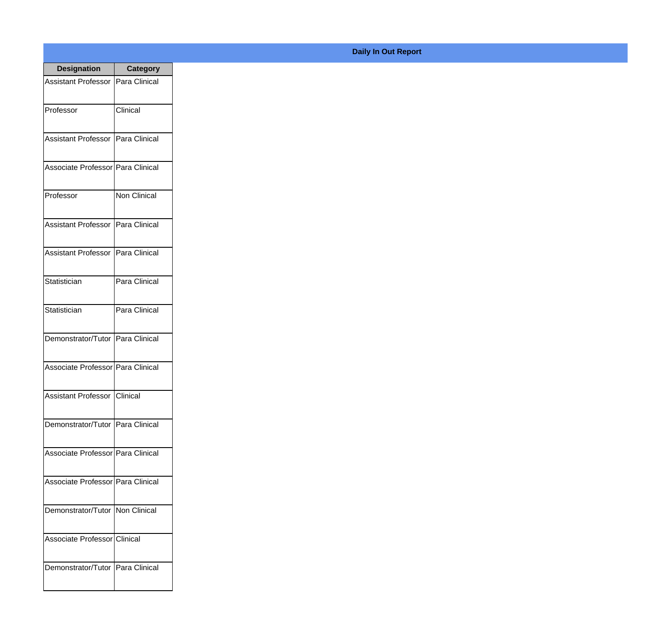| <b>Designation</b>                  | <b>Category</b> |
|-------------------------------------|-----------------|
| <b>Assistant Professor</b>          | Para Clinical   |
| Professor                           | Clinical        |
| <b>Assistant Professor</b>          | Para Clinical   |
| Associate Professor   Para Clinical |                 |
| Professor                           | Non Clinical    |
| <b>Assistant Professor</b>          | Para Clinical   |
| <b>Assistant Professor</b>          | Para Clinical   |
| Statistician                        | Para Clinical   |
| Statistician                        | Para Clinical   |
| Demonstrator/Tutor   Para Clinical  |                 |
| Associate Professor Para Clinical   |                 |
| <b>Assistant Professor Clinical</b> |                 |
| Demonstrator/Tutor   Para Clinical  |                 |
| Associate Professor Para Clinical   |                 |
| Associate Professor Para Clinical   |                 |
| Demonstrator/Tutor   Non Clinical   |                 |
| Associate Professor Clinical        |                 |
| Demonstrator/Tutor   Para Clinical  |                 |

## **Daily In Out Report**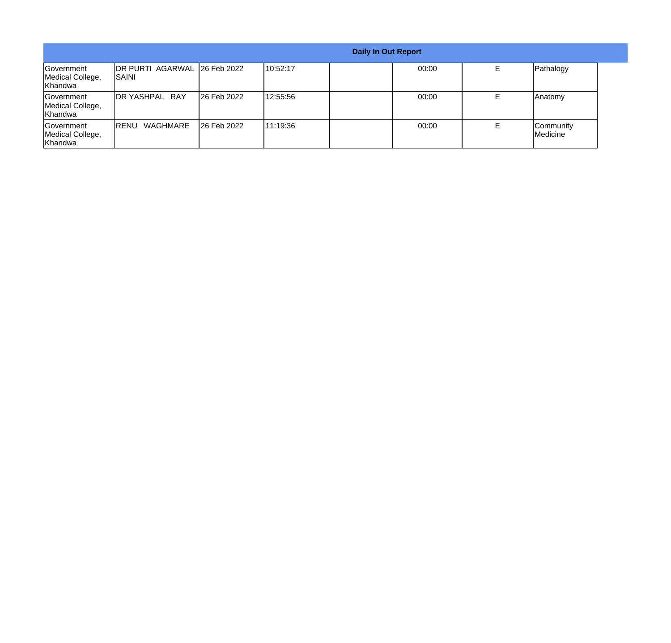|                                           |                                        |             |           | <b>Daily In Out Report</b> |       |                       |  |
|-------------------------------------------|----------------------------------------|-------------|-----------|----------------------------|-------|-----------------------|--|
| Government<br>Medical College,<br>Khandwa | DR PURTI AGARWAL 26 Feb 2022<br>ISAINI |             | 110:52:17 |                            | 00:00 | Pathalogy             |  |
| Government<br>Medical College,<br>Khandwa | <b>IDR YASHPAL RAY</b>                 | 26 Feb 2022 | 12:55:56  |                            | 00:00 | Anatomy               |  |
| Government<br>Medical College,<br>Khandwa | WAGHMARE<br>IRENU                      | 26 Feb 2022 | 111:19:36 |                            | 00:00 | Community<br>Medicine |  |